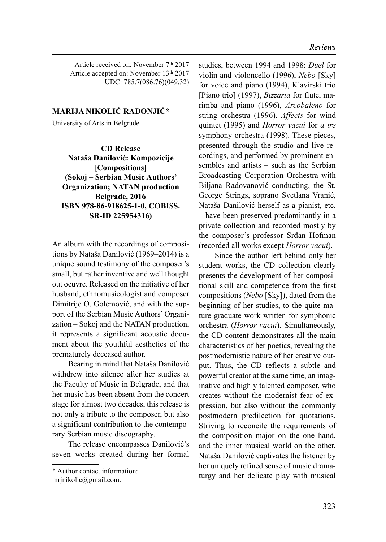Article received on: November 7<sup>th</sup> 2017 Article accepted on: November 13<sup>th</sup> 2017 UDC: 785.7(086.76)(049.32)

## MARIJA NIKOLIĆ RADONJIĆ\*

University of Arts in Belgrade

CD Release Nataša Danilović: Kompozicije [Compositions] (Sokoj – Serbian Music Authors' Organization; NATAN production Belgrade, 2016 ISBN 978-86-918625-1-0, COBISS. SR-ID 225954316)

An album with the recordings of compositions by Nataša Danilović (1969–2014) is a unique sound testimony of the composer's small, but rather inventive and well thought out oeuvre. Released on the initiative of her husband, ethnomusicologist and composer Dimitrije O. Golemović, and with the support of the Serbian Music Authors' Organization – Sokoj and the NATAN production, it represents a significant acoustic document about the youthful aesthetics of the prematurely deceased author.

Bearing in mind that Nataša Danilović withdrew into silence after her studies at the Faculty of Music in Belgrade, and that her music has been absent from the concert stage for almost two decades, this release is not only a tribute to the composer, but also a significant contribution to the contemporary Serbian music discography.

The release encompasses Danilović's seven works created during her formal studies, between 1994 and 1998: Duel for violin and violoncello (1996), Nebo [Sky] for voice and piano (1994), Klavirski trio [Piano trio] (1997), *Bizzaria* for flute, marimba and piano (1996), Arcobaleno for string orchestra (1996), Affects for wind quintet (1995) and Horror vacui for a tre symphony orchestra (1998). These pieces, presented through the studio and live recordings, and performed by prominent ensembles and artists – such as the Serbian Broadcasting Corporation Orchestra with Biljana Radovanović conducting, the St. George Strings, soprano Svetlana Vranić, Nataša Danilović herself as a pianist, etc. – have been preserved predominantly in a private collection and recorded mostly by the composer's professor Srđan Hofman (recorded all works except Horror vacui).

Since the author left behind only her student works, the CD collection clearly presents the development of her compositional skill and competence from the first compositions (Nebo [Sky]), dated from the beginning of her studies, to the quite mature graduate work written for symphonic orchestra (Horror vacui). Simultaneously, the CD content demonstrates all the main characteristics of her poetics, revealing the postmodernistic nature of her creative output. Thus, the CD reflects a subtle and powerful creator at the same time, an imaginative and highly talented composer, who creates without the modernist fear of expression, but also without the commonly postmodern predilection for quotations. Striving to reconcile the requirements of the composition major on the one hand, and the inner musical world on the other, Nataša Danilović captivates the listener by her uniquely refined sense of music dramaturgy and her delicate play with musical

<sup>\*</sup> Author contact information:

mrjnikolic@gmail.com.